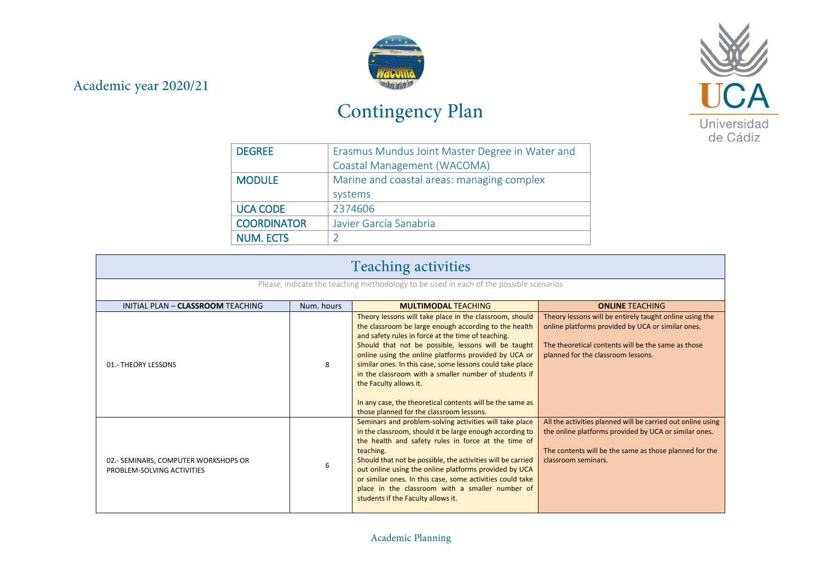## Academic year 2020/21



## Contingency Plan



| <b>DEGREE</b>      | Erasmus Mundus Joint Master Degree in Water and |
|--------------------|-------------------------------------------------|
|                    | Coastal Management (WACOMA)                     |
| <b>MODULE</b>      | Marine and coastal areas: managing complex      |
|                    | systems                                         |
| <b>UCA CODE</b>    | 2374606                                         |
| <b>COORDINATOR</b> | Javier García Sanabria                          |
| <b>NUM. ECTS</b>   |                                                 |

| <b>Teaching activities</b>                                                             |            |                                                                                                                                                                                                                                                                                                                                                                                                                                                                                                                                                |                                                                                                                                                                                                          |
|----------------------------------------------------------------------------------------|------------|------------------------------------------------------------------------------------------------------------------------------------------------------------------------------------------------------------------------------------------------------------------------------------------------------------------------------------------------------------------------------------------------------------------------------------------------------------------------------------------------------------------------------------------------|----------------------------------------------------------------------------------------------------------------------------------------------------------------------------------------------------------|
| Please, indicate the teaching methodology to be used in each of the possible scenarios |            |                                                                                                                                                                                                                                                                                                                                                                                                                                                                                                                                                |                                                                                                                                                                                                          |
| INITIAL PLAN - CLASSROOM TEACHING                                                      | Num. hours | <b>MULTIMODAL TEACHING</b>                                                                                                                                                                                                                                                                                                                                                                                                                                                                                                                     | <b>ONLINE TEACHING</b>                                                                                                                                                                                   |
| 01.- THEORY LESSONS                                                                    | 8          | Theory lessons will take place in the classroom, should<br>the classroom be large enough according to the health<br>and safety rules in force at the time of teaching.<br>Should that not be possible, lessons will be taught<br>online using the online platforms provided by UCA or<br>similar ones. In this case, some lessons could take place<br>in the classroom with a smaller number of students if<br>the Faculty allows it.<br>In any case, the theoretical contents will be the same as<br>those planned for the classroom lessons. | Theory lessons will be entirely taught online using the<br>online platforms provided by UCA or similar ones.<br>The theoretical contents will be the same as those<br>planned for the classroom lessons. |
| 02.- SEMINARS, COMPUTER WORKSHOPS OR<br>PROBLEM-SOLVING ACTIVITIES                     | 6          | Seminars and problem-solving activities will take place<br>in the classroom, should it be large enough according to<br>the health and safety rules in force at the time of<br>teaching.<br>Should that not be possible, the activities will be carried<br>out online using the online platforms provided by UCA<br>or similar ones. In this case, some activities could take<br>place in the classroom with a smaller number of<br>students if the Faculty allows it.                                                                          | All the activities planned will be carried out online using<br>the online platforms provided by UCA or similar ones.<br>The contents will be the same as those planned for the<br>classroom seminars.    |